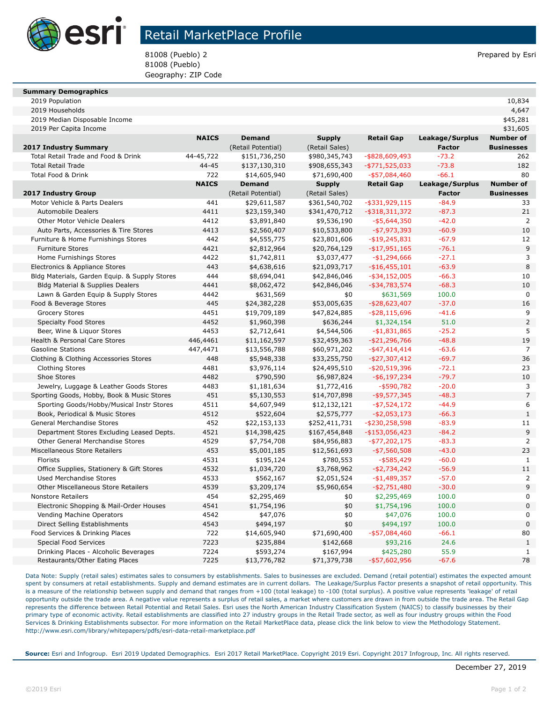

# Retail MarketPlace Profile

81008 (Pueblo) 2 Prepared by Esri 81008 (Pueblo) Geography: ZIP Code

#### **Summary Demographics**

| 2019 Population<br>. |  | 10,834 |
|----------------------|--|--------|
|----------------------|--|--------|

| 2019 Median Disposable Income                                               |              |                          |                            |                                |                    | \$45,281             |  |
|-----------------------------------------------------------------------------|--------------|--------------------------|----------------------------|--------------------------------|--------------------|----------------------|--|
| 2019 Per Capita Income                                                      |              |                          |                            |                                |                    | \$31,605             |  |
|                                                                             | <b>NAICS</b> | <b>Demand</b>            | <b>Supply</b>              | <b>Retail Gap</b>              | Leakage/Surplus    | <b>Number of</b>     |  |
| 2017 Industry Summary                                                       |              | (Retail Potential)       | (Retail Sales)             |                                | <b>Factor</b>      | <b>Businesses</b>    |  |
| Total Retail Trade and Food & Drink                                         | 44-45,722    | \$151,736,250            | \$980,345,743              | $-$ \$828,609,493              | $-73.2$            | 262                  |  |
| <b>Total Retail Trade</b>                                                   | 44-45        | \$137,130,310            | \$908,655,343              | $-$ \$771,525,033              | $-73.8$            | 182                  |  |
| <b>Total Food &amp; Drink</b>                                               | 722          | \$14,605,940             | \$71,690,400               | $-$ \$57,084,460               | $-66.1$            | 80                   |  |
|                                                                             | <b>NAICS</b> | <b>Demand</b>            | <b>Supply</b>              | <b>Retail Gap</b>              | Leakage/Surplus    | <b>Number of</b>     |  |
| 2017 Industry Group                                                         |              | (Retail Potential)       | (Retail Sales)             |                                | <b>Factor</b>      | <b>Businesses</b>    |  |
| Motor Vehicle & Parts Dealers                                               | 441          | \$29,611,587             | \$361,540,702              | $-$ \$331,929,115              | $-84.9$            | 33                   |  |
| <b>Automobile Dealers</b>                                                   | 4411         | \$23,159,340             | \$341,470,712              | $-$ \$318,311,372              | $-87.3$            | 21                   |  |
| Other Motor Vehicle Dealers                                                 | 4412         | \$3,891,840              | \$9,536,190                | $-$ \$5,644,350                | $-42.0$            | 2                    |  |
| Auto Parts, Accessories & Tire Stores                                       | 4413         | \$2,560,407              | \$10,533,800               | $-$7,973,393$                  | $-60.9$            | 10                   |  |
| Furniture & Home Furnishings Stores                                         | 442          | \$4,555,775              | \$23,801,606               | $-$ \$19,245,831               | $-67.9$            | 12                   |  |
| <b>Furniture Stores</b>                                                     | 4421         | \$2,812,964              | \$20,764,129               | $-$ \$17,951,165               | $-76.1$            | 9                    |  |
| Home Furnishings Stores                                                     | 4422         | \$1,742,811              | \$3,037,477                | -\$1,294,666                   | $-27.1$            | 3                    |  |
| Electronics & Appliance Stores                                              | 443          | \$4,638,616              | \$21,093,717               | $-$ \$16,455,101               | $-63.9$            | 8                    |  |
| Bldg Materials, Garden Equip. & Supply Stores                               | 444          | \$8,694,041              | \$42,846,046               | $-$ \$34,152,005               | $-66.3$            | 10                   |  |
| Bldg Material & Supplies Dealers                                            | 4441         | \$8,062,472              | \$42,846,046               | $-$ \$34,783,574               | $-68.3$            | 10                   |  |
| Lawn & Garden Equip & Supply Stores                                         | 4442         | \$631,569                | \$0                        | \$631,569                      | 100.0              | $\mathbf 0$          |  |
| Food & Beverage Stores                                                      | 445          | \$24,382,228             | \$53,005,635               | -\$28,623,407                  | $-37.0$            | 16                   |  |
| <b>Grocery Stores</b>                                                       | 4451         | \$19,709,189             | \$47,824,885               | $-$ \$28,115,696               | $-41.6$            | 9                    |  |
| <b>Specialty Food Stores</b>                                                | 4452         | \$1,960,398              | \$636,244                  | \$1,324,154                    | 51.0               | $\mathbf 2$          |  |
| Beer, Wine & Liquor Stores                                                  | 4453         | \$2,712,641              | \$4,544,506                | $-$1,831,865$                  | $-25.2$            | 5                    |  |
| Health & Personal Care Stores                                               | 446,4461     | \$11,162,597             | \$32,459,363               | $-$ \$21,296,766               | $-48.8$            | 19                   |  |
| <b>Gasoline Stations</b>                                                    | 447,4471     | \$13,556,788             | \$60,971,202               | $-$ \$47,414,414               | $-63.6$            | $\overline{7}$       |  |
| Clothing & Clothing Accessories Stores                                      | 448          | \$5,948,338              | \$33,255,750               | $-$ \$27,307,412               | $-69.7$            | 36                   |  |
| <b>Clothing Stores</b>                                                      | 4481         | \$3,976,114              | \$24,495,510               | $-$ \$20,519,396               | $-72.1$            | 23                   |  |
| Shoe Stores                                                                 | 4482         | \$790,590                | \$6,987,824                | $-$ \$6,197,234                | $-79.7$            | 10                   |  |
| Jewelry, Luggage & Leather Goods Stores                                     | 4483         | \$1,181,634              | \$1,772,416                | $-$ \$590,782                  | $-20.0$            | 3                    |  |
| Sporting Goods, Hobby, Book & Music Stores                                  | 451          | \$5,130,553              | \$14,707,898               | $-$ \$9,577,345                | $-48.3$            | $\overline{7}$       |  |
| Sporting Goods/Hobby/Musical Instr Stores                                   | 4511         | \$4,607,949              | \$12,132,121               | $-$ \$7,524,172                | $-44.9$            | 6                    |  |
| Book, Periodical & Music Stores                                             | 4512         | \$522,604                | \$2,575,777                | $- $2,053,173$                 | $-66.3$            | $1\,$                |  |
| General Merchandise Stores                                                  | 452          | \$22,153,133             | \$252,411,731              | -\$230,258,598                 | $-83.9$            | 11                   |  |
| Department Stores Excluding Leased Depts.                                   | 4521         | \$14,398,425             | \$167,454,848              | $-$ \$153,056,423              | $-84.2$            | 9                    |  |
| Other General Merchandise Stores                                            | 4529         | \$7,754,708              | \$84,956,883               | $-$ \$77,202,175               | $-83.3$            | $\overline{2}$<br>23 |  |
| Miscellaneous Store Retailers                                               | 453          | \$5,001,185              | \$12,561,693               | $-$ \$7,560,508                | $-43.0$            |                      |  |
| Florists                                                                    | 4531         | \$195,124                | \$780,553                  | $-$ \$585,429                  | $-60.0$<br>$-56.9$ | $\mathbf{1}$<br>11   |  |
| Office Supplies, Stationery & Gift Stores<br><b>Used Merchandise Stores</b> | 4532<br>4533 | \$1,034,720<br>\$562,167 | \$3,768,962<br>\$2,051,524 | $-$2,734,242$<br>$-$1,489,357$ | $-57.0$            | 2                    |  |
| <b>Other Miscellaneous Store Retailers</b>                                  | 4539         | \$3,209,174              | \$5,960,654                | $-$ \$2,751,480                | $-30.0$            | 9                    |  |
| <b>Nonstore Retailers</b>                                                   | 454          | \$2,295,469              | \$0                        | \$2,295,469                    | 100.0              | $\boldsymbol{0}$     |  |
| Electronic Shopping & Mail-Order Houses                                     | 4541         | \$1,754,196              | \$0                        | \$1,754,196                    | 100.0              | $\pmb{0}$            |  |
| Vending Machine Operators                                                   | 4542         | \$47,076                 | \$0                        | \$47,076                       | 100.0              | $\pmb{0}$            |  |
| Direct Selling Establishments                                               | 4543         | \$494,197                | \$0                        | \$494,197                      | 100.0              | $\pmb{0}$            |  |
| Food Services & Drinking Places                                             | 722          | \$14,605,940             | \$71,690,400               | $-$ \$57,084,460               | $-66.1$            | 80                   |  |
| <b>Special Food Services</b>                                                | 7223         | \$235,884                | \$142,668                  | \$93,216                       | 24.6               | $\mathbf{1}$         |  |
| Drinking Places - Alcoholic Beverages                                       | 7224         | \$593,274                | \$167,994                  | \$425,280                      | 55.9               | 1                    |  |
| Restaurants/Other Eating Places                                             | 7225         | \$13,776,782             | \$71,379,738               | -\$57,602,956                  | $-67.6$            | 78                   |  |
|                                                                             |              |                          |                            |                                |                    |                      |  |

2019 Households 4,647

Data Note: Supply (retail sales) estimates sales to consumers by establishments. Sales to businesses are excluded. Demand (retail potential) estimates the expected amount spent by consumers at retail establishments. Supply and demand estimates are in current dollars. The Leakage/Surplus Factor presents a snapshot of retail opportunity. This is a measure of the relationship between supply and demand that ranges from +100 (total leakage) to -100 (total surplus). A positive value represents 'leakage' of retail opportunity outside the trade area. A negative value represents a surplus of retail sales, a market where customers are drawn in from outside the trade area. The Retail Gap represents the difference between Retail Potential and Retail Sales. Esri uses the North American Industry Classification System (NAICS) to classify businesses by their primary type of economic activity. Retail establishments are classified into 27 industry groups in the Retail Trade sector, as well as four industry groups within the Food Services & Drinking Establishments subsector. For more information on the Retail MarketPlace data, please click the link below to view the Methodology Statement. http://www.esri.com/library/whitepapers/pdfs/esri-data-retail-marketplace.pdf

**Source:** Esri and Infogroup. Esri 2019 Updated Demographics. Esri 2017 Retail MarketPlace. Copyright 2019 Esri. Copyright 2017 Infogroup, Inc. All rights reserved.